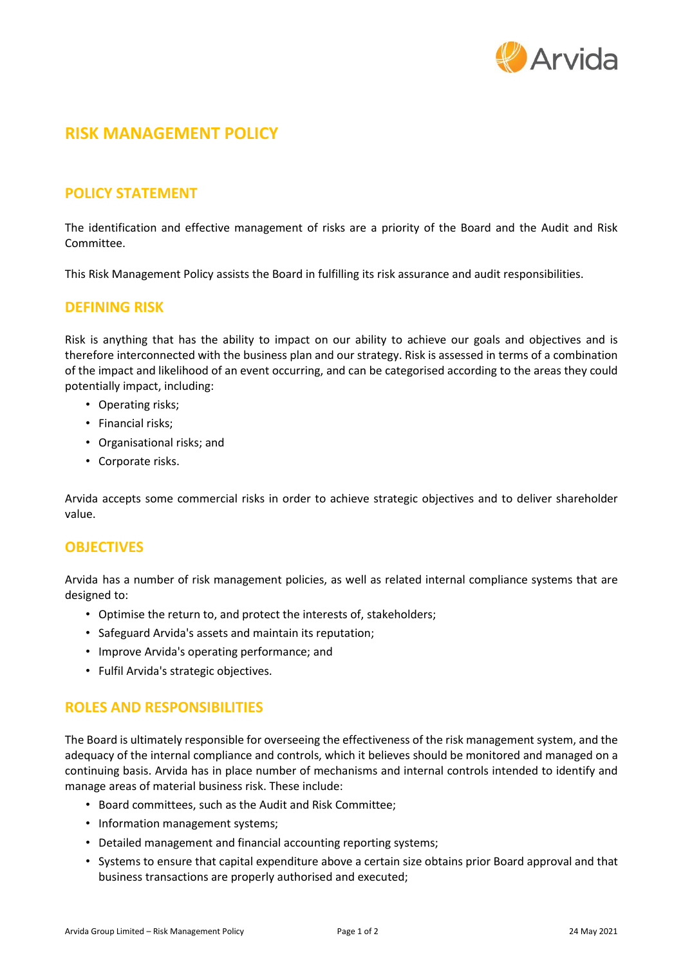

# **RISK MANAGEMENT POLICY**

## **POLICY STATEMENT**

The identification and effective management of risks are a priority of the Board and the Audit and Risk Committee.

This Risk Management Policy assists the Board in fulfilling its risk assurance and audit responsibilities.

### **DEFINING RISK**

Risk is anything that has the ability to impact on our ability to achieve our goals and objectives and is therefore interconnected with the business plan and our strategy. Risk is assessed in terms of a combination of the impact and likelihood of an event occurring, and can be categorised according to the areas they could potentially impact, including:

- Operating risks;
- Financial risks;
- Organisational risks; and
- Corporate risks.

Arvida accepts some commercial risks in order to achieve strategic objectives and to deliver shareholder value.

### **OBJECTIVES**

Arvida has a number of risk management policies, as well as related internal compliance systems that are designed to:

- Optimise the return to, and protect the interests of, stakeholders;
- Safeguard Arvida's assets and maintain its reputation;
- Improve Arvida's operating performance; and
- Fulfil Arvida's strategic objectives.

### **ROLES AND RESPONSIBILITIES**

The Board is ultimately responsible for overseeing the effectiveness of the risk management system, and the adequacy of the internal compliance and controls, which it believes should be monitored and managed on a continuing basis. Arvida has in place number of mechanisms and internal controls intended to identify and manage areas of material business risk. These include:

- Board committees, such as the Audit and Risk Committee;
- Information management systems;
- Detailed management and financial accounting reporting systems;
- Systems to ensure that capital expenditure above a certain size obtains prior Board approval and that business transactions are properly authorised and executed;